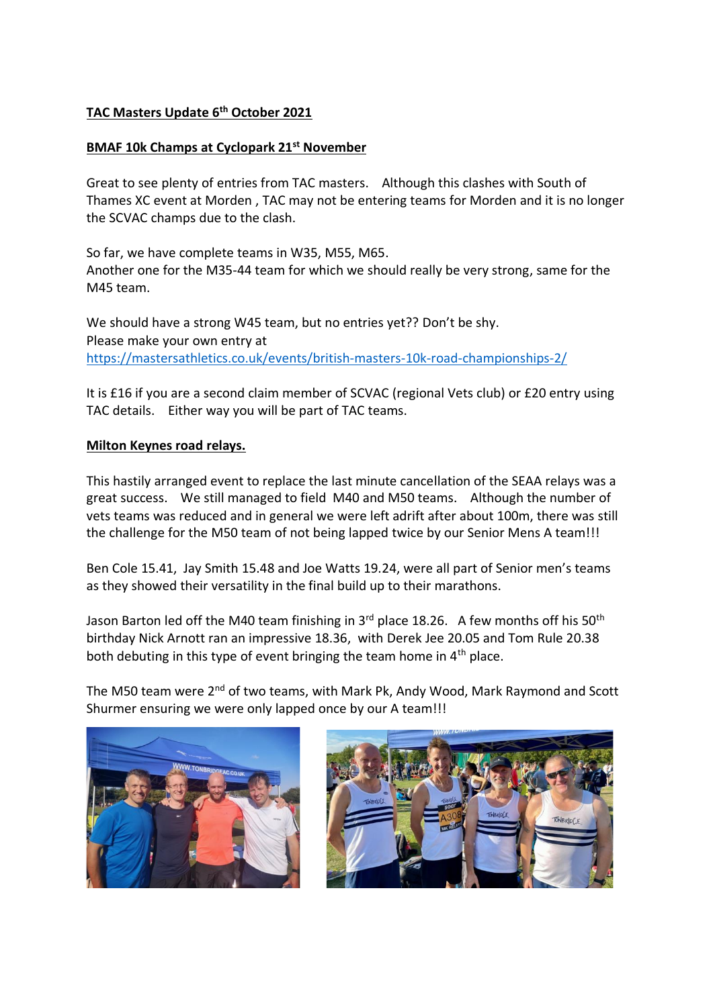# **TAC Masters Update 6th October 2021**

## **BMAF 10k Champs at Cyclopark 21st November**

Great to see plenty of entries from TAC masters. Although this clashes with South of Thames XC event at Morden , TAC may not be entering teams for Morden and it is no longer the SCVAC champs due to the clash.

So far, we have complete teams in W35, M55, M65. Another one for the M35-44 team for which we should really be very strong, same for the M45 team.

We should have a strong W45 team, but no entries yet?? Don't be shy. Please make your own entry at https://mastersathletics.co.uk/events/british-masters-10k-road-championships-2/

It is £16 if you are a second claim member of SCVAC (regional Vets club) or £20 entry using TAC details. Either way you will be part of TAC teams.

## **Milton Keynes road relays.**

This hastily arranged event to replace the last minute cancellation of the SEAA relays was a great success. We still managed to field M40 and M50 teams. Although the number of vets teams was reduced and in general we were left adrift after about 100m, there was still the challenge for the M50 team of not being lapped twice by our Senior Mens A team!!!

Ben Cole 15.41, Jay Smith 15.48 and Joe Watts 19.24, were all part of Senior men's teams as they showed their versatility in the final build up to their marathons.

Jason Barton led off the M40 team finishing in  $3<sup>rd</sup>$  place 18.26. A few months off his 50<sup>th</sup> birthday Nick Arnott ran an impressive 18.36, with Derek Jee 20.05 and Tom Rule 20.38 both debuting in this type of event bringing the team home in 4<sup>th</sup> place.

The M50 team were 2<sup>nd</sup> of two teams, with Mark Pk, Andy Wood, Mark Raymond and Scott Shurmer ensuring we were only lapped once by our A team!!!



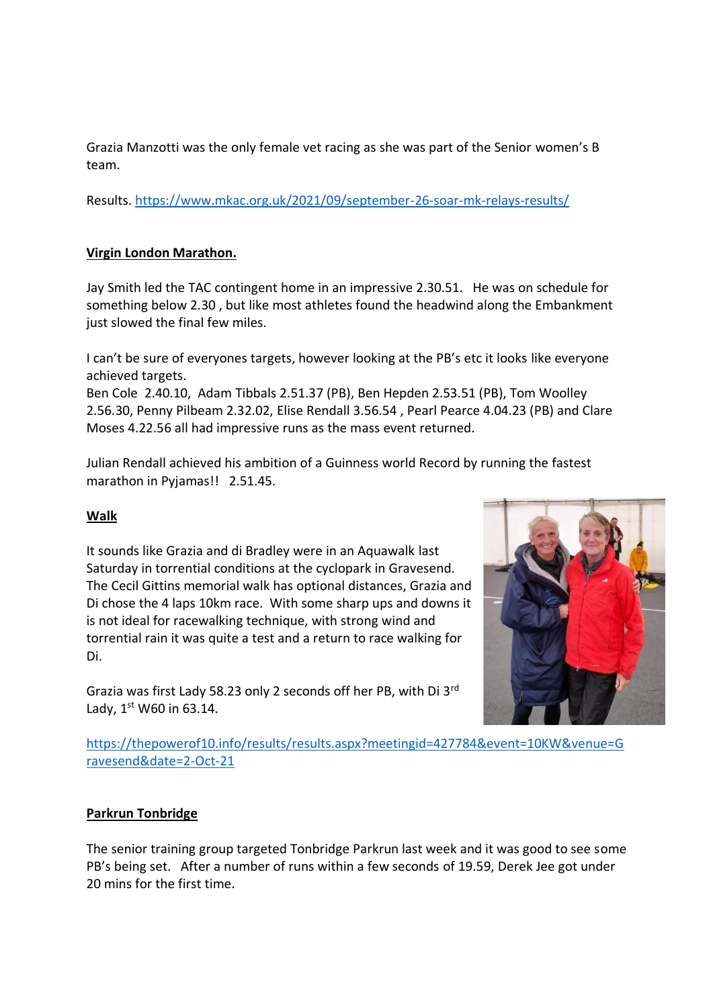Grazia Manzotti was the only female vet racing as she was part of the Senior women's B team.

Results. https://www.mkac.org.uk/2021/09/september-26-soar-mk-relays-results/

## **Virgin London Marathon.**

Jay Smith led the TAC contingent home in an impressive 2.30.51. He was on schedule for something below 2.30 , but like most athletes found the headwind along the Embankment just slowed the final few miles.

I can't be sure of everyones targets, however looking at the PB's etc it looks like everyone achieved targets.

Ben Cole 2.40.10, Adam Tibbals 2.51.37 (PB), Ben Hepden 2.53.51 (PB), Tom Woolley 2.56.30, Penny Pilbeam 2.32.02, Elise Rendall 3.56.54 , Pearl Pearce 4.04.23 (PB) and Clare Moses 4.22.56 all had impressive runs as the mass event returned.

Julian Rendall achieved his ambition of a Guinness world Record by running the fastest marathon in Pyjamas!! 2.51.45.

### **Walk**

It sounds like Grazia and di Bradley were in an Aquawalk last Saturday in torrential conditions at the cyclopark in Gravesend. The Cecil Gittins memorial walk has optional distances, Grazia and Di chose the 4 laps 10km race. With some sharp ups and downs it is not ideal for racewalking technique, with strong wind and torrential rain it was quite a test and a return to race walking for Di.

Grazia was first Lady 58.23 only 2 seconds off her PB, with Di 3rd Lady, 1st W60 in 63.14.



https://thepowerof10.info/results/results.aspx?meetingid=427784&event=10KW&venue=G ravesend&date=2-Oct-21

### **Parkrun Tonbridge**

The senior training group targeted Tonbridge Parkrun last week and it was good to see some PB's being set. After a number of runs within a few seconds of 19.59, Derek Jee got under 20 mins for the first time.